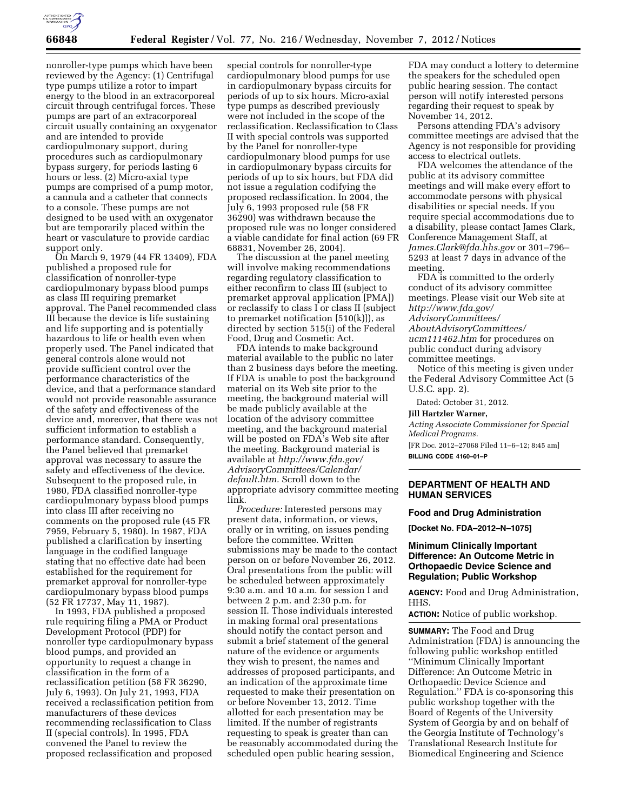

nonroller-type pumps which have been reviewed by the Agency: (1) Centrifugal type pumps utilize a rotor to impart energy to the blood in an extracorporeal circuit through centrifugal forces. These pumps are part of an extracorporeal circuit usually containing an oxygenator and are intended to provide cardiopulmonary support, during procedures such as cardiopulmonary bypass surgery, for periods lasting 6 hours or less. (2) Micro-axial type pumps are comprised of a pump motor, a cannula and a catheter that connects to a console. These pumps are not designed to be used with an oxygenator but are temporarily placed within the heart or vasculature to provide cardiac support only.

On March 9, 1979 (44 FR 13409), FDA published a proposed rule for classification of nonroller-type cardiopulmonary bypass blood pumps as class III requiring premarket approval. The Panel recommended class III because the device is life sustaining and life supporting and is potentially hazardous to life or health even when properly used. The Panel indicated that general controls alone would not provide sufficient control over the performance characteristics of the device, and that a performance standard would not provide reasonable assurance of the safety and effectiveness of the device and, moreover, that there was not sufficient information to establish a performance standard. Consequently, the Panel believed that premarket approval was necessary to assure the safety and effectiveness of the device. Subsequent to the proposed rule, in 1980, FDA classified nonroller-type cardiopulmonary bypass blood pumps into class III after receiving no comments on the proposed rule (45 FR 7959, February 5, 1980). In 1987, FDA published a clarification by inserting language in the codified language stating that no effective date had been established for the requirement for premarket approval for nonroller-type cardiopulmonary bypass blood pumps (52 FR 17737, May 11, 1987).

In 1993, FDA published a proposed rule requiring filing a PMA or Product Development Protocol (PDP) for nonroller type cardiopulmonary bypass blood pumps, and provided an opportunity to request a change in classification in the form of a reclassification petition (58 FR 36290, July 6, 1993). On July 21, 1993, FDA received a reclassification petition from manufacturers of these devices recommending reclassification to Class II (special controls). In 1995, FDA convened the Panel to review the proposed reclassification and proposed

special controls for nonroller-type cardiopulmonary blood pumps for use in cardiopulmonary bypass circuits for periods of up to six hours. Micro-axial type pumps as described previously were not included in the scope of the reclassification. Reclassification to Class II with special controls was supported by the Panel for nonroller-type cardiopulmonary blood pumps for use in cardiopulmonary bypass circuits for periods of up to six hours, but FDA did not issue a regulation codifying the proposed reclassification. In 2004, the July 6, 1993 proposed rule (58 FR 36290) was withdrawn because the proposed rule was no longer considered a viable candidate for final action (69 FR 68831, November 26, 2004).

The discussion at the panel meeting will involve making recommendations regarding regulatory classification to either reconfirm to class III (subject to premarket approval application [PMA]) or reclassify to class I or class II (subject to premarket notification [510(k)]), as directed by section 515(i) of the Federal Food, Drug and Cosmetic Act.

FDA intends to make background material available to the public no later than 2 business days before the meeting. If FDA is unable to post the background material on its Web site prior to the meeting, the background material will be made publicly available at the location of the advisory committee meeting, and the background material will be posted on FDA's Web site after the meeting. Background material is available at *[http://www.fda.gov/](http://www.fda.gov/AdvisoryCommittees/Calendar/default.htm)  [AdvisoryCommittees/Calendar/](http://www.fda.gov/AdvisoryCommittees/Calendar/default.htm)  [default.htm.](http://www.fda.gov/AdvisoryCommittees/Calendar/default.htm)* Scroll down to the appropriate advisory committee meeting link.

*Procedure:* Interested persons may present data, information, or views, orally or in writing, on issues pending before the committee. Written submissions may be made to the contact person on or before November 26, 2012. Oral presentations from the public will be scheduled between approximately 9:30 a.m. and 10 a.m. for session I and between 2 p.m. and 2:30 p.m. for session II. Those individuals interested in making formal oral presentations should notify the contact person and submit a brief statement of the general nature of the evidence or arguments they wish to present, the names and addresses of proposed participants, and an indication of the approximate time requested to make their presentation on or before November 13, 2012. Time allotted for each presentation may be limited. If the number of registrants requesting to speak is greater than can be reasonably accommodated during the scheduled open public hearing session,

FDA may conduct a lottery to determine the speakers for the scheduled open public hearing session. The contact person will notify interested persons regarding their request to speak by November 14, 2012.

Persons attending FDA's advisory committee meetings are advised that the Agency is not responsible for providing access to electrical outlets.

FDA welcomes the attendance of the public at its advisory committee meetings and will make every effort to accommodate persons with physical disabilities or special needs. If you require special accommodations due to a disability, please contact James Clark, Conference Management Staff, at *[James.Clark@fda.hhs.gov](mailto:James.Clark@fda.hhs.gov)* or 301–796– 5293 at least 7 days in advance of the meeting.

FDA is committed to the orderly conduct of its advisory committee meetings. Please visit our Web site at *[http://www.fda.gov/](http://www.fda.gov/AdvisoryCommittees/AboutAdvisoryCommittees/ucm111462.htm) [AdvisoryCommittees/](http://www.fda.gov/AdvisoryCommittees/AboutAdvisoryCommittees/ucm111462.htm)* 

*[AboutAdvisoryCommittees/](http://www.fda.gov/AdvisoryCommittees/AboutAdvisoryCommittees/ucm111462.htm)  [ucm111462.htm](http://www.fda.gov/AdvisoryCommittees/AboutAdvisoryCommittees/ucm111462.htm)* for procedures on public conduct during advisory committee meetings.

Notice of this meeting is given under the Federal Advisory Committee Act (5 U.S.C. app. 2).

Dated: October 31, 2012.

**Jill Hartzler Warner,** 

*Acting Associate Commissioner for Special Medical Programs.*  [FR Doc. 2012–27068 Filed 11–6–12; 8:45 am] **BILLING CODE 4160–01–P** 

## **DEPARTMENT OF HEALTH AND HUMAN SERVICES**

#### **Food and Drug Administration**

**[Docket No. FDA–2012–N–1075]** 

# **Minimum Clinically Important Difference: An Outcome Metric in Orthopaedic Device Science and Regulation; Public Workshop**

**AGENCY:** Food and Drug Administration, HHS.

**ACTION:** Notice of public workshop.

**SUMMARY:** The Food and Drug Administration (FDA) is announcing the following public workshop entitled ''Minimum Clinically Important Difference: An Outcome Metric in Orthopaedic Device Science and Regulation.'' FDA is co-sponsoring this public workshop together with the Board of Regents of the University System of Georgia by and on behalf of the Georgia Institute of Technology's Translational Research Institute for Biomedical Engineering and Science